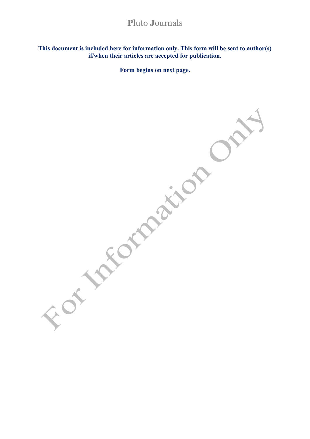This document is included here for information only. This form will be sent to author(s) if/when their articles are accepted for publication.

Form begins on next page.

of takotanaiton On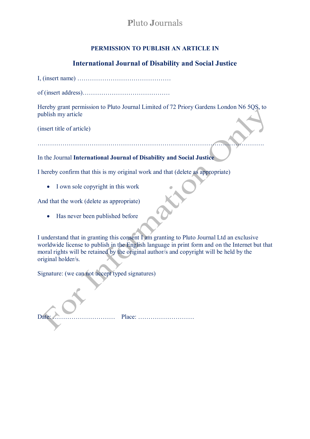# **PERMISSION TO PUBLISH AN ARTICLE IN**

# **International Journal of Disability and Social Justice**

|--|--|--|--|--|--|

of (insert address)……………………………………

Hereby grant permission to Pluto Journal Limited of 72 Priory Gardens London N6 5QS, to publish my article

(insert title of article)

……………………………………………………………………………………………….

# In the Journal **International Journal of Disability and Social Justice**

I hereby confirm that this is my original work and that (delete as appropriate)

• I own sole copyright in this work

And that the work (delete as appropriate)

• Has never been published before

I understand that in granting this consent I am granting to Pluto Journal Ltd an exclusive worldwide license to publish in the English language in print form and on the Internet but that moral rights will be retained by the original author/s and copyright will be held by the original holder/s.

Signature: (we can not accept typed signatures)

Date: ………………………… Place: ………………………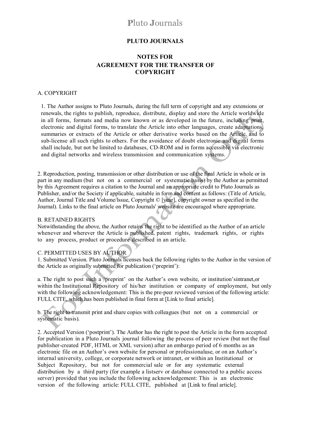## **PLUTO JOURNALS**

## **NOTES FOR AGREEMENT FOR THE TRANSFER OF COPYRIGHT**

#### A. COPYRIGHT

1. The Author assigns to Pluto Journals, during the full term of copyright and any extensions or renewals, the rights to publish, reproduce, distribute, display and store the Article worldwide in all forms, formats and media now known or as developed in the future, including print, electronic and digital forms, to translate the Article into other languages, create adaptations, summaries or extracts of the Article or other derivative works based on the Article, and to sub-license all such rights to others. For the avoidance of doubt electronic and digital forms shall include, but not be limited to databases, CD-ROM and in forms accessible via electronic and digital networks and wireless transmission and communication systems.

2. Reproduction, posting, transmission or other distribution or use of the final Article in whole or in part in any medium (but not on a commercial or systematic basis) by the Author as permitted by this Agreement requires a citation to the Journal and an appropriate credit to Pluto Journals as Publisher, and/or the Society if applicable, suitable in form and content as follows: (Title of Article, Author, Journal Title and Volume/lssue, Copyright © [year], copyright owner as specified in the Journal). Links to the final article on Pluto Journals' website are encouraged where appropriate.

#### B. RETAINED RIGHTS

Notwithstanding the above, the Author retains the right to be identified as the Author of an article whenever and wherever the Article is published, patent rights, trademark rights, or rights to any process, product or procedure described in an article.

#### C. PERMITTED USES BY AUTHOR

1. Submitted Version. Pluto Journals licenses back the following rights to the Author in the version of the Article as originally submitted for publication ('preprint'):

a. The right to post such a 'preprint' on the Author's own website, or institution'sintranet,or within the Institutional Repository of his/her institution or company of employment, but only with the following acknowledgement: This is the pre-peer reviewed version of the following article: FULL CITE, which has been published in final form at [Link to final article].

b. The right to transmit print and share copies with colleagues (but not on a commercial or systematic basis).

2. Accepted Version ('postprint'). The Author has the right to post the Article in the form accepted for publication in a Pluto Journals journal following the process of peer review (but not the final publisher-created PDF, HTML or XML version) after an embargo period of 6 months as an electronic file on an Author's own website for personal or professionaluse, or on an Author's internal university, college, or corporate network or intranet, or within an Institutional or Subject Repository, but not for commercial sale or for any systematic external distribution by a third party (for example a listserv or database connected to a public access server) provided that you include the following acknowledgement: This is an electronic version of the following article: FULL CITE, published at [Link to final article].